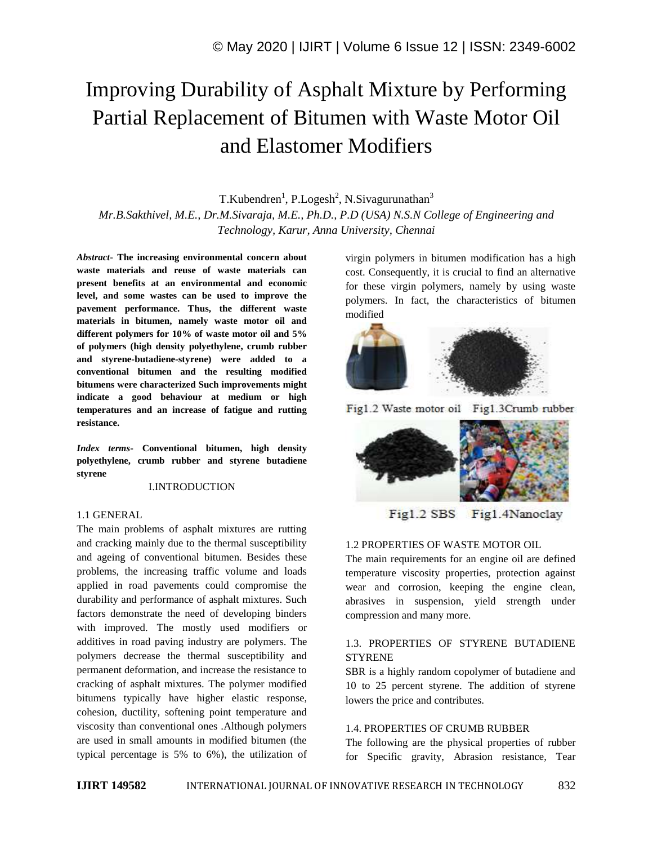# Improving Durability of Asphalt Mixture by Performing Partial Replacement of Bitumen with Waste Motor Oil and Elastomer Modifiers

T.Kubendren<sup>1</sup>, P.Logesh<sup>2</sup>, N.Sivagurunathan<sup>3</sup> *Mr.B.Sakthivel, M.E., Dr.M.Sivaraja, M.E., Ph.D., P.D (USA) N.S.N College of Engineering and Technology, Karur, Anna University, Chennai*

*Abstract*- **The increasing environmental concern about waste materials and reuse of waste materials can present benefits at an environmental and economic level, and some wastes can be used to improve the pavement performance. Thus, the different waste materials in bitumen, namely waste motor oil and different polymers for 10% of waste motor oil and 5% of polymers (high density polyethylene, crumb rubber and styrene-butadiene-styrene) were added to a conventional bitumen and the resulting modified bitumens were characterized Such improvements might indicate a good behaviour at medium or high temperatures and an increase of fatigue and rutting resistance.**

*Index terms***- Conventional bitumen, high density polyethylene, crumb rubber and styrene butadiene styrene**

#### I.INTRODUCTION

#### 1.1 GENERAL

The main problems of asphalt mixtures are rutting and cracking mainly due to the thermal susceptibility and ageing of conventional bitumen. Besides these problems, the increasing traffic volume and loads applied in road pavements could compromise the durability and performance of asphalt mixtures. Such factors demonstrate the need of developing binders with improved. The mostly used modifiers or additives in road paving industry are polymers. The polymers decrease the thermal susceptibility and permanent deformation, and increase the resistance to cracking of asphalt mixtures. The polymer modified bitumens typically have higher elastic response, cohesion, ductility, softening point temperature and viscosity than conventional ones .Although polymers are used in small amounts in modified bitumen (the typical percentage is 5% to 6%), the utilization of virgin polymers in bitumen modification has a high cost. Consequently, it is crucial to find an alternative for these virgin polymers, namely by using waste polymers. In fact, the characteristics of bitumen modified



Fig1.2 Waste motor oil Fig1.3Crumb rubber



Fig1.2 SBS Fig1.4Nanoclay

# 1.2 PROPERTIES OF WASTE MOTOR OIL

The main requirements for an engine oil are defined temperature viscosity properties, protection against wear and corrosion, keeping the engine clean, abrasives in suspension, yield strength under compression and many more.

# 1.3. PROPERTIES OF STYRENE BUTADIENE **STYRENE**

SBR is a highly random copolymer of butadiene and 10 to 25 percent styrene. The addition of styrene lowers the price and contributes.

#### 1.4. PROPERTIES OF CRUMB RUBBER

The following are the physical properties of rubber for Specific gravity, Abrasion resistance, Tear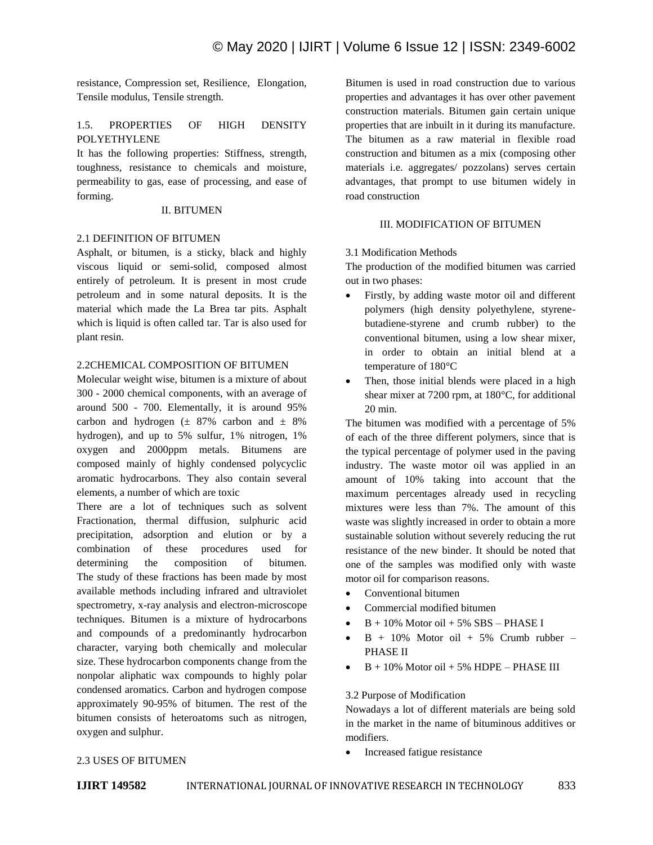resistance, Compression set, Resilience, Elongation, Tensile modulus, Tensile strength.

# 1.5. PROPERTIES OF HIGH DENSITY POLYETHYLENE

It has the following properties: Stiffness, strength, toughness, resistance to chemicals and moisture, permeability to gas, ease of processing, and ease of forming.

## II. BITUMEN

## 2.1 DEFINITION OF BITUMEN

Asphalt, or bitumen, is a sticky, black and highly viscous liquid or semi-solid, composed almost entirely of petroleum. It is present in most crude petroleum and in some natural deposits. It is the material which made the La Brea tar pits. Asphalt which is liquid is often called tar. Tar is also used for plant resin.

## 2.2CHEMICAL COMPOSITION OF BITUMEN

Molecular weight wise, bitumen is a mixture of about 300 - 2000 chemical components, with an average of around 500 - 700. Elementally, it is around 95% carbon and hydrogen  $(\pm 87\%$  carbon and  $\pm 8\%$ hydrogen), and up to 5% sulfur, 1% nitrogen, 1% oxygen and 2000ppm metals. Bitumens are composed mainly of highly condensed polycyclic aromatic hydrocarbons. They also contain several elements, a number of which are toxic

There are a lot of techniques such as solvent Fractionation, thermal diffusion, sulphuric acid precipitation, adsorption and elution or by a combination of these procedures used for determining the composition of bitumen. The study of these fractions has been made by most available methods including infrared and ultraviolet spectrometry, x-ray analysis and electron-microscope techniques. Bitumen is a mixture of hydrocarbons and compounds of a predominantly hydrocarbon character, varying both chemically and molecular size. These hydrocarbon components change from the nonpolar aliphatic wax compounds to highly polar condensed aromatics. Carbon and hydrogen compose approximately 90-95% of bitumen. The rest of the bitumen consists of heteroatoms such as nitrogen, oxygen and sulphur.

Bitumen is used in road construction due to various properties and advantages it has over other pavement construction materials. Bitumen gain certain unique properties that are inbuilt in it during its manufacture. The bitumen as a raw material in flexible road construction and bitumen as a mix (composing other materials i.e. aggregates/ pozzolans) serves certain advantages, that prompt to use bitumen widely in road construction

## III. MODIFICATION OF BITUMEN

## 3.1 Modification Methods

The production of the modified bitumen was carried out in two phases:

- Firstly, by adding waste motor oil and different polymers (high density polyethylene, styrenebutadiene-styrene and crumb rubber) to the conventional bitumen, using a low shear mixer, in order to obtain an initial blend at a temperature of 180°C
- Then, those initial blends were placed in a high shear mixer at 7200 rpm, at 180°C, for additional 20 min.

The bitumen was modified with a percentage of 5% of each of the three different polymers, since that is the typical percentage of polymer used in the paving industry. The waste motor oil was applied in an amount of 10% taking into account that the maximum percentages already used in recycling mixtures were less than 7%. The amount of this waste was slightly increased in order to obtain a more sustainable solution without severely reducing the rut resistance of the new binder. It should be noted that one of the samples was modified only with waste motor oil for comparison reasons.

- Conventional bitumen
- Commercial modified bitumen
- $B + 10\%$  Motor oil  $+ 5\%$  SBS PHASE I
- $\bullet$  B + 10% Motor oil + 5% Crumb rubber PHASE II
- $B + 10\%$  Motor oil  $+ 5\%$  HDPE PHASE III

#### 3.2 Purpose of Modification

Nowadays a lot of different materials are being sold in the market in the name of bituminous additives or modifiers.

• Increased fatigue resistance

#### 2.3 USES OF BITUMEN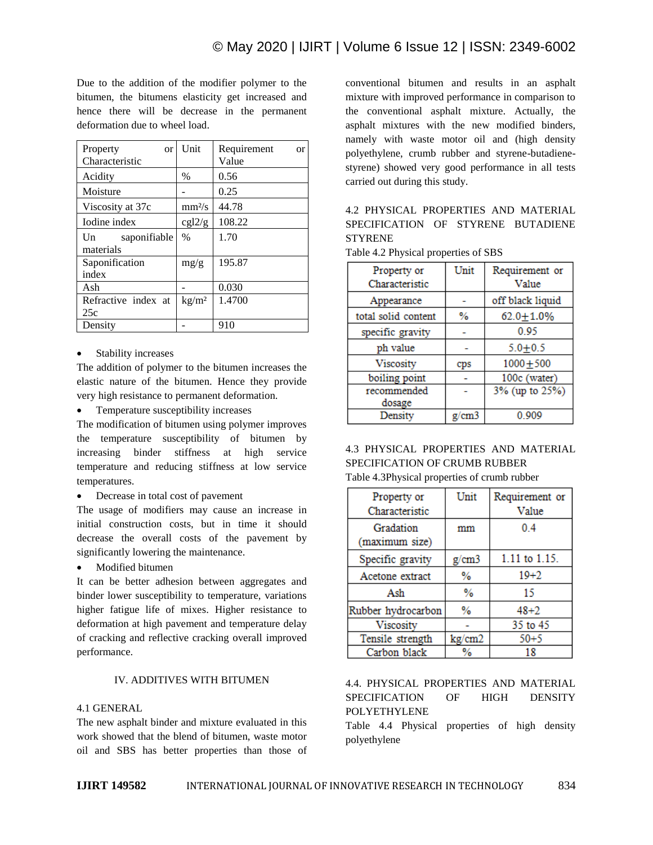Due to the addition of the modifier polymer to the bitumen, the bitumens elasticity get increased and hence there will be decrease in the permanent deformation due to wheel load.

| Property<br><b>or</b><br>Characteristic     | Unit                       | Requirement<br><b>or</b><br>Value |
|---------------------------------------------|----------------------------|-----------------------------------|
| Acidity                                     | $\%$                       | 0.56                              |
| Moisture                                    |                            | 0.25                              |
| Viscosity at 37c                            | mm <sup>2</sup> /s         | 44.78                             |
| Iodine index                                | cgl2/g                     | 108.22                            |
| saponifiable<br>$\mathbf{U}$ n<br>materials | $\%$                       | 1.70                              |
| Saponification<br>index                     | mg/g                       | 195.87                            |
| Ash                                         |                            | 0.030                             |
| Refractive index at<br>25c                  | $\mathrm{kg}/\mathrm{m}^2$ | 1.4700                            |
| Density                                     |                            | 910                               |

#### Stability increases

The addition of polymer to the bitumen increases the elastic nature of the bitumen. Hence they provide very high resistance to permanent deformation.

• Temperature susceptibility increases

The modification of bitumen using polymer improves the temperature susceptibility of bitumen by increasing binder stiffness at high service temperature and reducing stiffness at low service temperatures.

Decrease in total cost of pavement

The usage of modifiers may cause an increase in initial construction costs, but in time it should decrease the overall costs of the pavement by significantly lowering the maintenance.

Modified bitumen

It can be better adhesion between aggregates and binder lower susceptibility to temperature, variations higher fatigue life of mixes. Higher resistance to deformation at high pavement and temperature delay of cracking and reflective cracking overall improved performance.

# IV. ADDITIVES WITH BITUMEN

# 4.1 GENERAL

The new asphalt binder and mixture evaluated in this work showed that the blend of bitumen, waste motor oil and SBS has better properties than those of conventional bitumen and results in an asphalt mixture with improved performance in comparison to the conventional asphalt mixture. Actually, the asphalt mixtures with the new modified binders, namely with waste motor oil and (high density polyethylene, crumb rubber and styrene-butadienestyrene) showed very good performance in all tests carried out during this study.

# 4.2 PHYSICAL PROPERTIES AND MATERIAL SPECIFICATION OF STYRENE BUTADIENE **STYRENE**

| Property or         | Unit  | Requirement or   |
|---------------------|-------|------------------|
| Characteristic      |       | Value            |
| Appearance          |       | off black liquid |
| total solid content | %     | $62.0 + 1.0%$    |
| specific gravity    |       | 0.95             |
| ph value            |       | $5.0 + 0.5$      |
| Viscosity           | cps   | $1000 + 500$     |
| boiling point       |       | 100c (water)     |
| recommended         |       | 3% (up to 25%)   |
| dosage              |       |                  |
| Density             | g/cm3 | 0.909            |

# Table 4.2 Physical properties of SBS

# 4.3 PHYSICAL PROPERTIES AND MATERIAL SPECIFICATION OF CRUMB RUBBER Table 4.3Physical properties of crumb rubber

| Property or        | Unit   | Requirement or |
|--------------------|--------|----------------|
| Characteristic     |        | Value          |
| Gradation          | mm     | 04             |
| (maximum size)     |        |                |
| Specific gravity   | g/cm3  | 1.11 to 1.15.  |
| Acetone extract    | %      | $19 + 2$       |
| Ash                | %      | 15             |
| Rubber hydrocarbon | %      | $48 + 2$       |
| Viscosity          |        | 35 to 45       |
| Tensile strength   | kg/cm2 | $50 + 5$       |
| Carbon black       | ℅      |                |

# 4.4. PHYSICAL PROPERTIES AND MATERIAL SPECIFICATION OF HIGH DENSITY POLYETHYLENE

Table 4.4 Physical properties of high density polyethylene